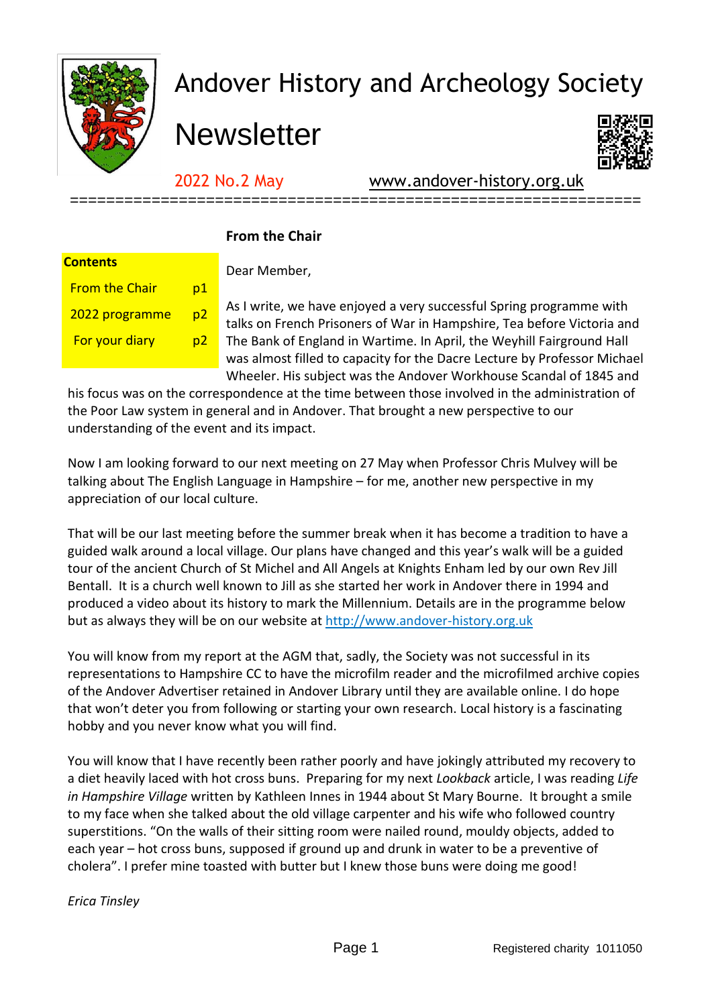

## Andover History and Archeology Society

**Newsletter** 



2022 No.2 May [www.andover-history.org.uk](http://www.andover-history.org.uk/)

| Contents              |           |  |
|-----------------------|-----------|--|
| <b>From the Chair</b> | <u>p1</u> |  |
| 2022 programme        | <u>p2</u> |  |
| <b>For your diary</b> | p2        |  |
|                       |           |  |

## **From the Chair**

Dear Member,

As I write, we have enjoyed a very successful Spring programme with talks on French Prisoners of War in Hampshire, Tea before Victoria and The Bank of England in Wartime. In April, the Weyhill Fairground Hall was almost filled to capacity for the Dacre Lecture by Professor Michael Wheeler. His subject was the Andover Workhouse Scandal of 1845 and

his focus was on the correspondence at the time between those involved in the administration of the Poor Law system in general and in Andover. That brought a new perspective to our understanding of the event and its impact.

===============================================================

Now I am looking forward to our next meeting on 27 May when Professor Chris Mulvey will be talking about The English Language in Hampshire – for me, another new perspective in my appreciation of our local culture.

That will be our last meeting before the summer break when it has become a tradition to have a guided walk around a local village. Our plans have changed and this year's walk will be a guided tour of the ancient Church of St Michel and All Angels at Knights Enham led by our own Rev Jill Bentall. It is a church well known to Jill as she started her work in Andover there in 1994 and produced a video about its history to mark the Millennium. Details are in the programme below but as always they will be on our website at [http://www.andover-history.org.uk](http://www.andover-history.org.uk/)

You will know from my report at the AGM that, sadly, the Society was not successful in its representations to Hampshire CC to have the microfilm reader and the microfilmed archive copies of the Andover Advertiser retained in Andover Library until they are available online. I do hope that won't deter you from following or starting your own research. Local history is a fascinating hobby and you never know what you will find.

You will know that I have recently been rather poorly and have jokingly attributed my recovery to a diet heavily laced with hot cross buns. Preparing for my next *Lookback* article, I was reading *Life in Hampshire Village* written by Kathleen Innes in 1944 about St Mary Bourne. It brought a smile to my face when she talked about the old village carpenter and his wife who followed country superstitions. "On the walls of their sitting room were nailed round, mouldy objects, added to each year – hot cross buns, supposed if ground up and drunk in water to be a preventive of cholera". I prefer mine toasted with butter but I knew those buns were doing me good!

*Erica Tinsley*